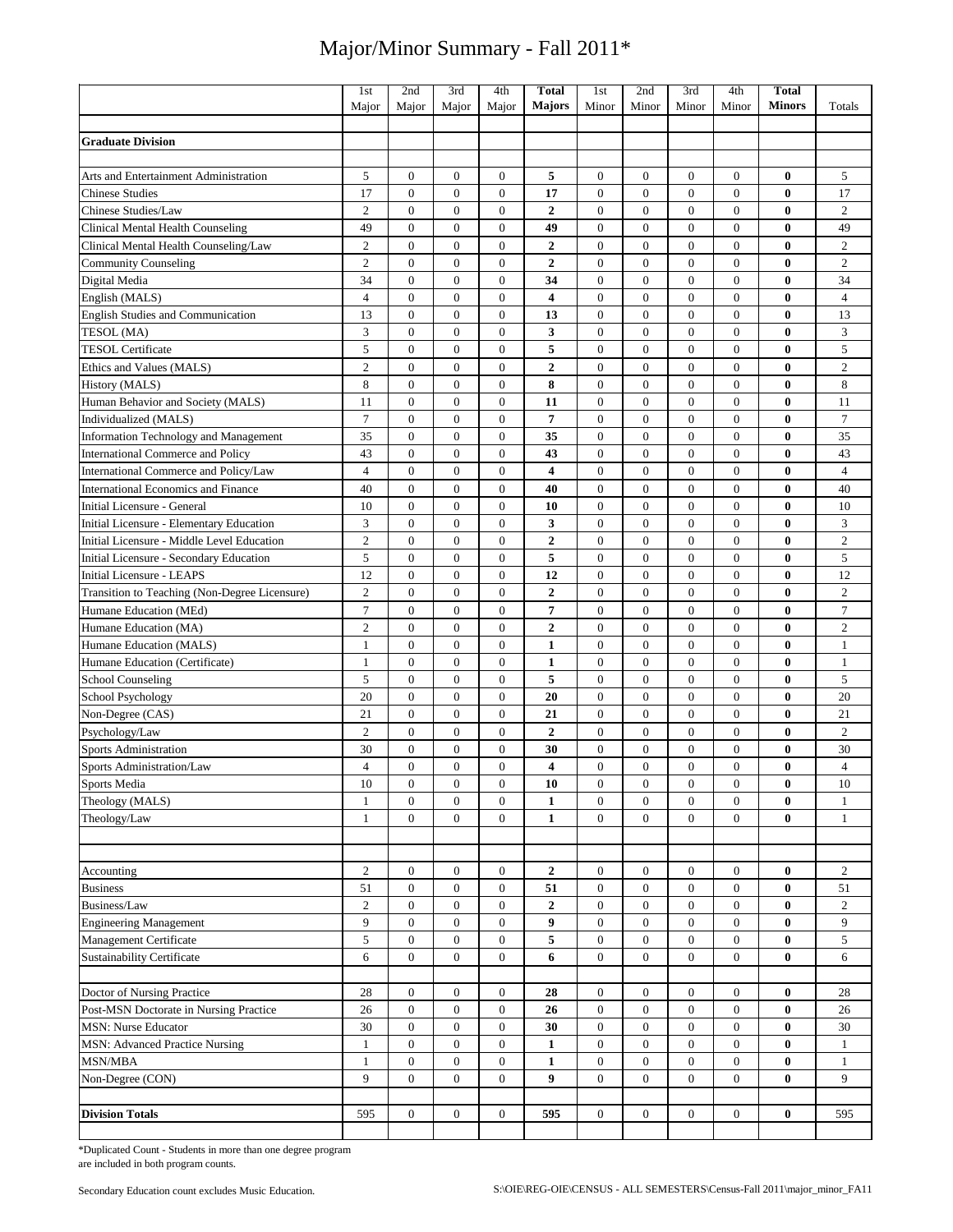|                                                  | 1st                        | 2nd                              | 3rd                              | 4th                              | <b>Total</b>                | 1st                              | 2nd                              | 3rd                            | 4th                                  | <b>Total</b>         |                            |
|--------------------------------------------------|----------------------------|----------------------------------|----------------------------------|----------------------------------|-----------------------------|----------------------------------|----------------------------------|--------------------------------|--------------------------------------|----------------------|----------------------------|
|                                                  | Major                      | Major                            | Major                            | Major                            | <b>Majors</b>               | Minor                            | Minor                            | Minor                          | Minor                                | <b>Minors</b>        | Totals                     |
| <b>Graduate Division</b>                         |                            |                                  |                                  |                                  |                             |                                  |                                  |                                |                                      |                      |                            |
|                                                  |                            |                                  |                                  |                                  |                             |                                  |                                  |                                |                                      |                      |                            |
| Arts and Entertainment Administration            | 5                          | $\boldsymbol{0}$                 | $\boldsymbol{0}$                 | $\boldsymbol{0}$                 | 5                           | $\boldsymbol{0}$                 | $\mathbf{0}$                     | $\boldsymbol{0}$               | 0                                    | $\bf{0}$             | 5                          |
| <b>Chinese Studies</b>                           | 17                         | $\overline{0}$                   | $\overline{0}$                   | $\overline{0}$                   | 17                          | $\mathbf{0}$                     | $\overline{0}$                   | $\overline{0}$                 | $\overline{0}$                       | $\bf{0}$             | 17                         |
| Chinese Studies/Law                              | $\mathfrak{2}$             | $\mathbf{0}$                     | $\mathbf{0}$                     | $\overline{0}$                   | $\overline{2}$              | $\overline{0}$                   | $\mathbf{0}$                     | $\overline{0}$                 | $\overline{0}$                       | $\bf{0}$             | $\overline{c}$             |
| <b>Clinical Mental Health Counseling</b>         | 49                         | $\mathbf{0}$                     | $\boldsymbol{0}$                 | $\boldsymbol{0}$                 | 49                          | $\mathbf{0}$                     | $\mathbf{0}$                     | $\boldsymbol{0}$               | $\boldsymbol{0}$                     | $\bf{0}$             | 49                         |
| Clinical Mental Health Counseling/Law            | $\mathfrak{2}$             | $\mathbf{0}$                     | $\mathbf{0}$                     | $\boldsymbol{0}$                 | $\overline{2}$              | $\overline{0}$                   | $\mathbf{0}$                     | $\mathbf{0}$                   | $\boldsymbol{0}$                     | $\bf{0}$             | $\sqrt{2}$                 |
| <b>Community Counseling</b>                      | $\mathbf{2}$               | $\mathbf{0}$                     | $\mathbf{0}$                     | 0                                | $\boldsymbol{2}$            | $\mathbf{0}$                     | $\mathbf{0}$                     | $\mathbf{0}$                   | $\boldsymbol{0}$                     | 0                    | $\overline{c}$             |
| Digital Media                                    | 34                         | $\mathbf{0}$                     | $\overline{0}$                   | $\boldsymbol{0}$                 | 34                          | $\mathbf{0}$                     | $\mathbf{0}$                     | $\mathbf{0}$                   | $\boldsymbol{0}$                     | 0                    | 34                         |
| English (MALS)                                   | $\overline{4}$             | $\mathbf{0}$                     | $\boldsymbol{0}$                 | $\boldsymbol{0}$                 | $\overline{\mathbf{4}}$     | $\mathbf{0}$                     | $\mathbf{0}$                     | $\boldsymbol{0}$               | $\boldsymbol{0}$                     | $\bf{0}$             | $\overline{4}$             |
| English Studies and Communication                | 13                         | $\boldsymbol{0}$                 | $\mathbf{0}$                     | $\boldsymbol{0}$                 | 13                          | $\mathbf{0}$                     | $\overline{0}$                   | $\mathbf{0}$                   | $\boldsymbol{0}$                     | $\bf{0}$             | 13                         |
| TESOL (MA)                                       | 3                          | $\mathbf{0}$                     | $\mathbf{0}$                     | $\overline{0}$                   | 3                           | $\overline{0}$                   | $\mathbf{0}$                     | $\overline{0}$                 | $\boldsymbol{0}$                     | $\bf{0}$             | 3                          |
| <b>TESOL Certificate</b>                         | 5                          | $\boldsymbol{0}$                 | $\overline{0}$                   | $\boldsymbol{0}$                 | 5                           | $\boldsymbol{0}$                 | $\boldsymbol{0}$                 | $\overline{0}$                 | $\boldsymbol{0}$                     | $\bf{0}$             | $\mathfrak s$              |
| Ethics and Values (MALS)                         | $\mathbf{2}$               | $\mathbf{0}$                     | $\boldsymbol{0}$                 | $\boldsymbol{0}$                 | $\boldsymbol{2}$            | $\mathbf{0}$                     | $\boldsymbol{0}$                 | $\boldsymbol{0}$               | $\boldsymbol{0}$                     | $\bf{0}$             | $\overline{c}$             |
| History (MALS)                                   | 8                          | $\mathbf{0}$                     | $\mathbf{0}$                     | $\boldsymbol{0}$                 | 8                           | $\overline{0}$                   | $\mathbf{0}$                     | $\overline{0}$                 | $\boldsymbol{0}$                     | $\bf{0}$             | $\,8\,$                    |
| Human Behavior and Society (MALS)                | 11                         | $\mathbf{0}$                     | $\overline{0}$                   | $\overline{0}$                   | 11                          | $\mathbf{0}$                     | $\mathbf{0}$                     | $\overline{0}$                 | $\boldsymbol{0}$                     | $\bf{0}$             | 11                         |
| Individualized (MALS)                            | $\tau$                     | $\mathbf{0}$                     | $\boldsymbol{0}$                 | $\boldsymbol{0}$                 | 7                           | $\mathbf{0}$                     | $\mathbf{0}$                     | $\overline{0}$                 | $\boldsymbol{0}$                     | $\bf{0}$             | $\tau$                     |
| <b>Information Technology and Management</b>     | 35                         | $\mathbf{0}$                     | $\mathbf{0}$                     | $\overline{0}$                   | 35                          | $\mathbf{0}$                     | $\mathbf{0}$                     | $\overline{0}$                 | $\boldsymbol{0}$                     | $\bf{0}$             | 35                         |
| <b>International Commerce and Policy</b>         | 43                         | $\mathbf{0}$                     | $\mathbf{0}$                     | $\overline{0}$                   | 43                          | $\mathbf{0}$                     | $\mathbf{0}$                     | $\overline{0}$                 | $\boldsymbol{0}$                     | 0                    | 43                         |
| International Commerce and Policy/Law            | $\overline{4}$             | $\mathbf{0}$                     | $\overline{0}$                   | $\boldsymbol{0}$                 | 4                           | $\boldsymbol{0}$                 | $\boldsymbol{0}$                 | $\overline{0}$                 | $\boldsymbol{0}$                     | 0                    | $\overline{4}$             |
| <b>International Economics and Finance</b>       | 40                         | $\mathbf{0}$                     | $\boldsymbol{0}$                 | $\boldsymbol{0}$                 | 40                          | $\mathbf{0}$                     | $\mathbf{0}$                     | $\boldsymbol{0}$               | $\boldsymbol{0}$                     | $\bf{0}$             | 40                         |
| Initial Licensure - General                      | 10                         | $\mathbf{0}$                     | $\mathbf{0}$                     | $\boldsymbol{0}$                 | 10                          | $\overline{0}$                   | $\mathbf{0}$                     | $\boldsymbol{0}$               | $\boldsymbol{0}$                     | $\bf{0}$             | 10                         |
| Initial Licensure - Elementary Education         | 3                          | $\mathbf{0}$                     | $\overline{0}$                   | $\overline{0}$                   | 3                           | $\mathbf{0}$                     | $\mathbf{0}$                     | $\overline{0}$                 | $\boldsymbol{0}$                     | $\bf{0}$             | 3                          |
| Initial Licensure - Middle Level Education       | $\overline{c}$             | $\mathbf{0}$                     | $\mathbf{0}$                     | $\boldsymbol{0}$                 | $\overline{2}$              | $\mathbf{0}$                     | $\mathbf{0}$                     | $\mathbf{0}$                   | $\boldsymbol{0}$                     | $\bf{0}$             | $\sqrt{2}$                 |
| Initial Licensure - Secondary Education          | 5                          | $\mathbf{0}$                     | $\mathbf{0}$                     | $\overline{0}$                   | 5                           | $\overline{0}$                   | $\mathbf{0}$                     | $\mathbf{0}$                   | $\boldsymbol{0}$                     | $\bf{0}$             | 5                          |
| <b>Initial Licensure - LEAPS</b>                 | 12                         | $\mathbf{0}$                     | $\boldsymbol{0}$                 | $\boldsymbol{0}$                 | 12                          | $\mathbf{0}$                     | $\mathbf{0}$                     | $\mathbf{0}$                   | $\boldsymbol{0}$                     | 0                    | 12                         |
| Transition to Teaching (Non-Degree Licensure)    | $\mathfrak{2}$             | $\overline{0}$                   | $\overline{0}$                   | $\overline{0}$                   | $\overline{2}$              | $\overline{0}$                   | $\overline{0}$                   | $\overline{0}$                 | $\overline{0}$                       | $\bf{0}$             | $\overline{c}$             |
| Humane Education (MEd)                           | $\tau$                     | $\boldsymbol{0}$<br>$\mathbf{0}$ | $\boldsymbol{0}$<br>$\mathbf{0}$ | $\boldsymbol{0}$                 | 7                           | $\boldsymbol{0}$                 | $\boldsymbol{0}$                 | $\boldsymbol{0}$               | $\boldsymbol{0}$                     | $\bf{0}$<br>$\bf{0}$ | $\tau$                     |
| Humane Education (MA)<br>Humane Education (MALS) | $\sqrt{2}$<br>$\mathbf{1}$ | $\mathbf{0}$                     | $\mathbf{0}$                     | $\boldsymbol{0}$<br>$\mathbf{0}$ | $\mathbf 2$<br>$\mathbf{1}$ | $\boldsymbol{0}$<br>$\mathbf{0}$ | $\boldsymbol{0}$<br>$\mathbf{0}$ | $\mathbf{0}$<br>$\overline{0}$ | $\boldsymbol{0}$<br>$\boldsymbol{0}$ | 0                    | $\sqrt{2}$<br>$\mathbf{1}$ |
| Humane Education (Certificate)                   | $\mathbf{1}$               | $\boldsymbol{0}$                 | $\mathbf{0}$                     | $\boldsymbol{0}$                 | $\mathbf{1}$                | $\boldsymbol{0}$                 | $\boldsymbol{0}$                 | $\overline{0}$                 | $\boldsymbol{0}$                     | 0                    | $\mathbf{1}$               |
| <b>School Counseling</b>                         | 5                          | $\mathbf{0}$                     | $\overline{0}$                   | $\mathbf{0}$                     | 5                           | $\overline{0}$                   | $\overline{0}$                   | $\overline{0}$                 | $\boldsymbol{0}$                     | $\bf{0}$             | 5                          |
| <b>School Psychology</b>                         | 20                         | $\mathbf{0}$                     | $\mathbf{0}$                     | $\mathbf{0}$                     | 20                          | $\mathbf{0}$                     | $\mathbf{0}$                     | $\overline{0}$                 | $\boldsymbol{0}$                     | $\bf{0}$             | 20                         |
| Non-Degree (CAS)                                 | 21                         | $\mathbf{0}$                     | $\overline{0}$                   | $\mathbf{0}$                     | 21                          | $\mathbf{0}$                     | $\mathbf{0}$                     | $\overline{0}$                 | $\mathbf{0}$                         | $\bf{0}$             | 21                         |
| Psychology/Law                                   | $\mathbf{2}$               | $\boldsymbol{0}$                 | $\boldsymbol{0}$                 | $\boldsymbol{0}$                 | $\boldsymbol{2}$            | $\mathbf{0}$                     | $\boldsymbol{0}$                 | $\boldsymbol{0}$               | $\boldsymbol{0}$                     | $\bf{0}$             | $\overline{c}$             |
| <b>Sports Administration</b>                     | 30                         | $\boldsymbol{0}$                 | $\mathbf{0}$                     | $\boldsymbol{0}$                 | 30                          | $\boldsymbol{0}$                 | $\mathbf{0}$                     | $\mathbf{0}$                   | $\boldsymbol{0}$                     | $\bf{0}$             | 30                         |
| Sports Administration/Law                        | $\overline{4}$             | $\mathbf{0}$                     | $\mathbf{0}$                     | $\mathbf{0}$                     | $\overline{4}$              | $\mathbf{0}$                     | $\mathbf{0}$                     | $\theta$                       | $\mathbf{0}$                         | $\bf{0}$             | $\overline{4}$             |
| Sports Media                                     | 10                         | 0                                | $\boldsymbol{0}$                 | 0                                | 10                          | 0                                | $\boldsymbol{0}$                 | 0                              | 0                                    | 0                    | 10                         |
| Theology (MALS)                                  | $\mathbf{1}$               | $\mathbf{0}$                     | $\overline{0}$                   | $\mathbf{0}$                     | $\mathbf{1}$                | $\overline{0}$                   | $\overline{0}$                   | $\mathbf{0}$                   | $\mathbf{0}$                         | $\bf{0}$             | $\mathbf{1}$               |
| Theology/Law                                     | $\mathbf{1}$               | $\overline{0}$                   | $\overline{0}$                   | $\overline{0}$                   | $\mathbf{1}$                | $\overline{0}$                   | $\mathbf{0}$                     | $\overline{0}$                 | $\overline{0}$                       | $\bf{0}$             | $\mathbf{1}$               |
|                                                  |                            |                                  |                                  |                                  |                             |                                  |                                  |                                |                                      |                      |                            |
|                                                  |                            |                                  |                                  |                                  |                             |                                  |                                  |                                |                                      |                      |                            |
| Accounting                                       | 2                          | $\boldsymbol{0}$                 | $\overline{0}$                   | $\boldsymbol{0}$                 | $\mathbf{2}$                | $\mathbf{0}$                     | $\boldsymbol{0}$                 | $\boldsymbol{0}$               | $\boldsymbol{0}$                     | $\bf{0}$             | 2                          |
| <b>Business</b>                                  | 51                         | $\boldsymbol{0}$                 | $\boldsymbol{0}$                 | $\boldsymbol{0}$                 | 51                          | $\mathbf{0}$                     | $\boldsymbol{0}$                 | $\boldsymbol{0}$               | $\boldsymbol{0}$                     | $\bf{0}$             | 51                         |
| Business/Law                                     | $\mathbf{2}$               | $\boldsymbol{0}$                 | $\mathbf{0}$                     | $\boldsymbol{0}$                 | $\mathbf{2}$                | $\mathbf{0}$                     | $\boldsymbol{0}$                 | $\boldsymbol{0}$               | $\mathbf{0}$                         | $\bf{0}$             | $\overline{c}$             |
| <b>Engineering Management</b>                    | 9                          | $\boldsymbol{0}$                 | $\overline{0}$                   | $\boldsymbol{0}$                 | 9                           | $\mathbf{0}$                     | $\boldsymbol{0}$                 | $\boldsymbol{0}$               | $\boldsymbol{0}$                     | $\bf{0}$             | 9                          |
| Management Certificate                           | 5                          | $\mathbf{0}$                     | $\overline{0}$                   | $\overline{0}$                   | 5                           | $\mathbf{0}$                     | $\overline{0}$                   | $\overline{0}$                 | $\boldsymbol{0}$                     | $\bf{0}$             | 5                          |
| <b>Sustainability Certificate</b>                | 6                          | $\mathbf{0}$                     | $\overline{0}$                   | $\mathbf{0}$                     | 6                           | $\overline{0}$                   | $\mathbf{0}$                     | $\overline{0}$                 | $\boldsymbol{0}$                     | $\bf{0}$             | 6                          |
|                                                  |                            |                                  |                                  |                                  |                             |                                  |                                  |                                |                                      |                      |                            |
| Doctor of Nursing Practice                       | 28                         | $\boldsymbol{0}$                 | $\boldsymbol{0}$                 | $\boldsymbol{0}$                 | 28                          | $\mathbf{0}$                     | $\overline{0}$                   | $\overline{0}$                 | $\boldsymbol{0}$                     | $\bf{0}$             | 28                         |
| Post-MSN Doctorate in Nursing Practice           | 26                         | $\boldsymbol{0}$                 | $\overline{0}$                   | $\boldsymbol{0}$                 | 26                          | $\mathbf{0}$                     | $\boldsymbol{0}$                 | 0                              | $\boldsymbol{0}$                     | $\bf{0}$             | 26                         |
| <b>MSN: Nurse Educator</b>                       | 30                         | $\boldsymbol{0}$                 | $\boldsymbol{0}$                 | $\boldsymbol{0}$                 | 30                          | $\boldsymbol{0}$                 | $\overline{0}$                   | $\boldsymbol{0}$               | $\boldsymbol{0}$                     | $\bf{0}$             | 30                         |
| MSN: Advanced Practice Nursing                   | $\mathbf{1}$               | $\boldsymbol{0}$                 | $\mathbf{0}$                     | $\boldsymbol{0}$                 | $\mathbf{1}$                | $\mathbf{0}$                     | $\overline{0}$                   | $\boldsymbol{0}$               | $\mathbf{0}$                         | $\bf{0}$             | $\mathbf{1}$               |
| MSN/MBA                                          | $\mathbf{1}$               | $\boldsymbol{0}$                 | $\mathbf{0}$                     | $\mathbf{0}$                     | $\mathbf{1}$                | $\mathbf{0}$                     | $\mathbf{0}$                     | $\mathbf{0}$                   | $\mathbf{0}$                         | 0                    | $\mathbf{1}$               |
| Non-Degree (CON)                                 | $\mathbf{Q}$               | $\overline{0}$                   | $\overline{0}$                   | $\overline{0}$                   | 9                           | $\mathbf{0}$                     | $\overline{0}$                   | $\overline{0}$                 | $\overline{0}$                       | $\bf{0}$             | 9                          |
| <b>Division Totals</b>                           | 595                        | $\overline{0}$                   | $\overline{0}$                   | $\overline{0}$                   | 595                         | $\overline{0}$                   | $\overline{0}$                   | $\overline{0}$                 | $\overline{0}$                       | $\bf{0}$             | 595                        |
|                                                  |                            |                                  |                                  |                                  |                             |                                  |                                  |                                |                                      |                      |                            |

\*Duplicated Count - Students in more than one degree program are included in both program counts.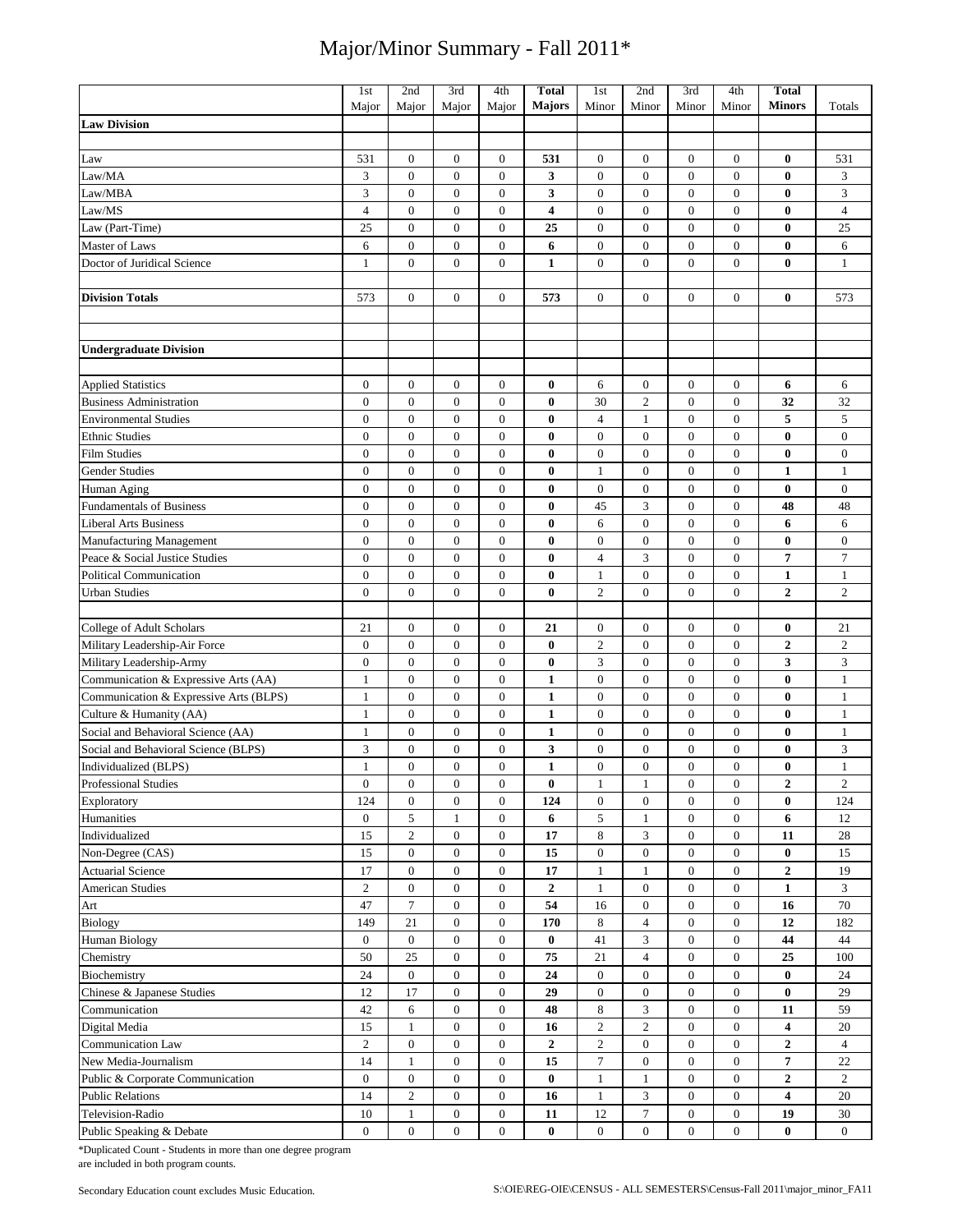|                                        | 1st              | 2nd              | 3rd              | 4th              | <b>Total</b>     | 1st              | 2nd              | 3rd              | 4th              | <b>Total</b>            |                  |
|----------------------------------------|------------------|------------------|------------------|------------------|------------------|------------------|------------------|------------------|------------------|-------------------------|------------------|
| <b>Law Division</b>                    | Major            | Major            | Major            | Major            | Majors           | Minor            | Minor            | Minor            | Minor            | <b>Minors</b>           | Totals           |
|                                        |                  |                  |                  |                  |                  |                  |                  |                  |                  |                         |                  |
| Law                                    | 531              | $\boldsymbol{0}$ | $\mathbf{0}$     | $\boldsymbol{0}$ | 531              | $\boldsymbol{0}$ | $\boldsymbol{0}$ | $\mathbf{0}$     | $\boldsymbol{0}$ | $\bf{0}$                | 531              |
| Law/MA                                 | 3                | $\overline{0}$   | $\boldsymbol{0}$ | $\overline{0}$   | 3                | $\boldsymbol{0}$ | $\boldsymbol{0}$ | $\boldsymbol{0}$ | $\boldsymbol{0}$ | $\bf{0}$                | 3                |
| Law/MBA                                | 3                | $\mathbf{0}$     | $\mathbf{0}$     | $\overline{0}$   | 3                | $\boldsymbol{0}$ | $\mathbf{0}$     | $\mathbf{0}$     | $\mathbf{0}$     | $\bf{0}$                | 3                |
| Law/MS                                 | $\overline{4}$   | $\boldsymbol{0}$ | $\boldsymbol{0}$ | $\mathbf{0}$     | 4                | $\boldsymbol{0}$ | $\boldsymbol{0}$ | $\boldsymbol{0}$ | $\boldsymbol{0}$ | $\bf{0}$                | $\overline{4}$   |
| Law (Part-Time)                        | 25               | $\boldsymbol{0}$ | $\mathbf{0}$     | $\overline{0}$   | 25               | $\boldsymbol{0}$ | $\boldsymbol{0}$ | $\mathbf{0}$     | $\boldsymbol{0}$ | $\bf{0}$                | 25               |
| Master of Laws                         | 6                | $\boldsymbol{0}$ | $\boldsymbol{0}$ | $\boldsymbol{0}$ | 6                | $\boldsymbol{0}$ | $\boldsymbol{0}$ | $\boldsymbol{0}$ | $\boldsymbol{0}$ | $\bf{0}$                | 6                |
| Doctor of Juridical Science            | $\mathbf{1}$     | $\mathbf{0}$     | $\mathbf{0}$     | $\overline{0}$   | $\mathbf{1}$     | $\mathbf{0}$     | $\mathbf{0}$     | $\mathbf{0}$     | $\mathbf{0}$     | $\bf{0}$                | $\mathbf{1}$     |
|                                        |                  |                  |                  |                  |                  |                  |                  |                  |                  |                         |                  |
| <b>Division Totals</b>                 | 573              | $\overline{0}$   | $\mathbf{0}$     | $\overline{0}$   | 573              | $\boldsymbol{0}$ | $\boldsymbol{0}$ | $\boldsymbol{0}$ | $\overline{0}$   | $\bf{0}$                | 573              |
|                                        |                  |                  |                  |                  |                  |                  |                  |                  |                  |                         |                  |
|                                        |                  |                  |                  |                  |                  |                  |                  |                  |                  |                         |                  |
| <b>Undergraduate Division</b>          |                  |                  |                  |                  |                  |                  |                  |                  |                  |                         |                  |
|                                        |                  |                  |                  |                  |                  |                  |                  |                  |                  |                         |                  |
| <b>Applied Statistics</b>              | $\boldsymbol{0}$ | $\boldsymbol{0}$ | $\mathbf{0}$     | $\mathbf{0}$     | $\bf{0}$         | 6                | $\boldsymbol{0}$ | $\boldsymbol{0}$ | $\boldsymbol{0}$ | 6                       | 6                |
| <b>Business Administration</b>         | $\boldsymbol{0}$ | $\boldsymbol{0}$ | $\boldsymbol{0}$ | $\boldsymbol{0}$ | $\bf{0}$         | 30               | $\overline{c}$   | $\boldsymbol{0}$ | $\boldsymbol{0}$ | 32                      | 32               |
| <b>Environmental Studies</b>           | $\overline{0}$   | $\mathbf{0}$     | $\mathbf{0}$     | $\overline{0}$   | $\bf{0}$         | $\overline{4}$   | $\mathbf{1}$     | $\mathbf{0}$     | $\boldsymbol{0}$ | 5                       | 5                |
| <b>Ethnic Studies</b>                  | $\boldsymbol{0}$ | $\mathbf{0}$     | $\mathbf{0}$     | $\overline{0}$   | $\bf{0}$         | $\boldsymbol{0}$ | $\boldsymbol{0}$ | $\mathbf{0}$     | $\boldsymbol{0}$ | $\bf{0}$                | $\boldsymbol{0}$ |
| <b>Film Studies</b>                    | $\boldsymbol{0}$ | $\boldsymbol{0}$ | $\boldsymbol{0}$ | $\overline{0}$   | $\bf{0}$         | $\boldsymbol{0}$ | $\boldsymbol{0}$ | $\boldsymbol{0}$ | $\boldsymbol{0}$ | $\bf{0}$                | $\mathbf{0}$     |
| <b>Gender Studies</b>                  | $\boldsymbol{0}$ | $\boldsymbol{0}$ | $\boldsymbol{0}$ | $\boldsymbol{0}$ | 0                | $\mathbf{1}$     | $\boldsymbol{0}$ | $\boldsymbol{0}$ | $\boldsymbol{0}$ | $\mathbf{1}$            | $\mathbf{1}$     |
| Human Aging                            | $\boldsymbol{0}$ | $\boldsymbol{0}$ | $\boldsymbol{0}$ | $\boldsymbol{0}$ | $\bf{0}$         | $\boldsymbol{0}$ | $\boldsymbol{0}$ | $\boldsymbol{0}$ | $\boldsymbol{0}$ | $\bf{0}$                | $\boldsymbol{0}$ |
| <b>Fundamentals of Business</b>        | $\boldsymbol{0}$ | $\mathbf{0}$     | $\mathbf{0}$     | $\overline{0}$   | $\bf{0}$         | 45               | 3                | $\boldsymbol{0}$ | $\boldsymbol{0}$ | 48                      | 48               |
| <b>Liberal Arts Business</b>           | $\boldsymbol{0}$ | $\boldsymbol{0}$ | $\boldsymbol{0}$ | $\boldsymbol{0}$ | $\bf{0}$         | 6                | $\mathbf{0}$     | $\boldsymbol{0}$ | $\boldsymbol{0}$ | 6                       | 6                |
| Manufacturing Management               | $\mathbf{0}$     | $\mathbf{0}$     | $\mathbf{0}$     | $\overline{0}$   | $\bf{0}$         | $\boldsymbol{0}$ | $\mathbf{0}$     | $\mathbf{0}$     | $\mathbf{0}$     | $\bf{0}$                | $\mathbf{0}$     |
| Peace & Social Justice Studies         | $\boldsymbol{0}$ | $\mathbf{0}$     | $\boldsymbol{0}$ | $\overline{0}$   | $\bf{0}$         | $\overline{4}$   | 3                | $\mathbf{0}$     | $\boldsymbol{0}$ | 7                       | $\tau$           |
| <b>Political Communication</b>         | $\mathbf{0}$     | $\mathbf{0}$     | $\boldsymbol{0}$ | $\overline{0}$   | $\bf{0}$         | $\mathbf{1}$     | $\boldsymbol{0}$ | $\boldsymbol{0}$ | $\boldsymbol{0}$ | $\mathbf{1}$            | $\mathbf{1}$     |
| <b>Urban Studies</b>                   | $\boldsymbol{0}$ | $\boldsymbol{0}$ | $\boldsymbol{0}$ | $\boldsymbol{0}$ | $\bf{0}$         | $\overline{c}$   | $\boldsymbol{0}$ | $\boldsymbol{0}$ | $\boldsymbol{0}$ | $\boldsymbol{2}$        | $\mathfrak{2}$   |
| College of Adult Scholars              | 21               | $\boldsymbol{0}$ | $\mathbf{0}$     | $\mathbf{0}$     | 21               | $\boldsymbol{0}$ | $\boldsymbol{0}$ | $\boldsymbol{0}$ | $\boldsymbol{0}$ | $\bf{0}$                | 21               |
| Military Leadership-Air Force          | $\boldsymbol{0}$ | $\boldsymbol{0}$ | $\mathbf{0}$     | $\overline{0}$   | $\bf{0}$         | $\overline{c}$   | $\boldsymbol{0}$ | $\boldsymbol{0}$ | $\boldsymbol{0}$ | $\boldsymbol{2}$        | $\overline{2}$   |
| Military Leadership-Army               | $\mathbf{0}$     | $\mathbf{0}$     | $\mathbf{0}$     | $\overline{0}$   | $\bf{0}$         | 3                | $\boldsymbol{0}$ | $\mathbf{0}$     | $\boldsymbol{0}$ | 3                       | 3                |
| Communication & Expressive Arts (AA)   | $\mathbf{1}$     | $\mathbf{0}$     | $\overline{0}$   | $\overline{0}$   | $\mathbf{1}$     | $\boldsymbol{0}$ | $\mathbf{0}$     | $\mathbf{0}$     | $\overline{0}$   | $\bf{0}$                | $1\,$            |
| Communication & Expressive Arts (BLPS) | 1                | $\mathbf{0}$     | $\mathbf{0}$     | $\overline{0}$   | $\mathbf{1}$     | $\boldsymbol{0}$ | $\mathbf{0}$     | $\mathbf{0}$     | $\mathbf{0}$     | $\bf{0}$                | $\mathbf{1}$     |
| Culture & Humanity (AA)                | 1                | $\boldsymbol{0}$ | $\boldsymbol{0}$ | $\boldsymbol{0}$ | $\mathbf{1}$     | $\boldsymbol{0}$ | $\boldsymbol{0}$ | $\boldsymbol{0}$ | $\boldsymbol{0}$ | $\bf{0}$                | $\mathbf{1}$     |
| Social and Behavioral Science (AA)     | $\mathbf{1}$     | $\boldsymbol{0}$ | $\boldsymbol{0}$ | $\boldsymbol{0}$ | $\mathbf{1}$     | $\boldsymbol{0}$ | $\boldsymbol{0}$ | $\boldsymbol{0}$ | $\boldsymbol{0}$ | $\bf{0}$                | $\mathbf{1}$     |
| Social and Behavioral Science (BLPS)   | 3                | $\boldsymbol{0}$ | $\boldsymbol{0}$ | $\mathbf{0}$     | 3                | $\boldsymbol{0}$ | $\boldsymbol{0}$ | $\boldsymbol{0}$ | $\boldsymbol{0}$ | $\bf{0}$                | 3                |
| Individualized (BLPS)                  | 1                | $\mathbf{0}$     | $\boldsymbol{0}$ | $\mathbf{0}$     | $\mathbf{1}$     | $\boldsymbol{0}$ | $\boldsymbol{0}$ | $\boldsymbol{0}$ | $\boldsymbol{0}$ | $\bf{0}$                | $\mathbf{1}$     |
| Professional Studies                   | $\boldsymbol{0}$ | $\boldsymbol{0}$ | $\boldsymbol{0}$ | $\mathbf{0}$     | $\bf{0}$         | 1                | 1                | 0                | $\boldsymbol{0}$ | $\mathbf{z}$            | 2                |
| Exploratory                            | 124              | $\overline{0}$   | $\overline{0}$   | $\mathbf{0}$     | 124              | $\boldsymbol{0}$ | $\boldsymbol{0}$ | $\boldsymbol{0}$ | $\boldsymbol{0}$ | $\bf{0}$                | 124              |
| Humanities                             | $\mathbf{0}$     | 5                | $\mathbf{1}$     | $\boldsymbol{0}$ | 6                | 5                | $\mathbf{1}$     | $\boldsymbol{0}$ | $\boldsymbol{0}$ | 6                       | 12               |
| Individualized                         | 15               | $\overline{2}$   | $\boldsymbol{0}$ | $\boldsymbol{0}$ | 17               | 8                | 3                | $\boldsymbol{0}$ | $\boldsymbol{0}$ | 11                      | 28               |
| Non-Degree (CAS)                       | 15               | $\mathbf{0}$     | $\boldsymbol{0}$ | $\overline{0}$   | 15               | $\boldsymbol{0}$ | $\boldsymbol{0}$ | $\boldsymbol{0}$ | $\overline{0}$   | $\bf{0}$                | 15               |
| <b>Actuarial Science</b>               | 17               | $\boldsymbol{0}$ | $\boldsymbol{0}$ | $\boldsymbol{0}$ | 17               | $\mathbf{1}$     | $\mathbf{1}$     | $\boldsymbol{0}$ | $\mathbf{0}$     | $\boldsymbol{2}$        | 19               |
| <b>American Studies</b>                | $\overline{2}$   | $\mathbf{0}$     | $\boldsymbol{0}$ | $\theta$         | $\boldsymbol{2}$ | 1                | $\boldsymbol{0}$ | $\boldsymbol{0}$ | $\mathbf{0}$     | $\mathbf{1}$            | 3                |
| Art                                    | 47               | $\tau$           | $\boldsymbol{0}$ | $\boldsymbol{0}$ | 54               | 16               | $\boldsymbol{0}$ | $\boldsymbol{0}$ | $\boldsymbol{0}$ | 16                      | 70               |
| <b>Biology</b>                         | 149              | 21               | $\boldsymbol{0}$ | $\boldsymbol{0}$ | 170              | 8                | $\overline{4}$   | $\boldsymbol{0}$ | $\boldsymbol{0}$ | 12                      | 182              |
| <b>Human Biology</b>                   | $\boldsymbol{0}$ | $\mathbf{0}$     | $\boldsymbol{0}$ | $\boldsymbol{0}$ | $\bf{0}$         | 41               | 3                | $\boldsymbol{0}$ | $\boldsymbol{0}$ | 44                      | 44               |
| Chemistry                              | 50               | 25               | $\boldsymbol{0}$ | $\boldsymbol{0}$ | 75               | 21               | $\overline{4}$   | $\boldsymbol{0}$ | $\boldsymbol{0}$ | 25                      | 100              |
| Biochemistry                           | 24               | $\overline{0}$   | $\mathbf{0}$     | $\overline{0}$   | 24               | $\boldsymbol{0}$ | $\boldsymbol{0}$ | $\boldsymbol{0}$ | $\boldsymbol{0}$ | $\bf{0}$                | 24               |
| Chinese & Japanese Studies             | 12               | 17               | $\boldsymbol{0}$ | $\boldsymbol{0}$ | 29               | $\boldsymbol{0}$ | $\boldsymbol{0}$ | $\boldsymbol{0}$ | $\boldsymbol{0}$ | $\bf{0}$                | 29               |
| Communication                          | 42               | 6                | $\boldsymbol{0}$ | $\boldsymbol{0}$ | 48               | 8                | 3                | $\boldsymbol{0}$ | $\boldsymbol{0}$ | 11                      | 59               |
| Digital Media                          | 15               | $\mathbf{1}$     | $\boldsymbol{0}$ | $\boldsymbol{0}$ | 16               | $\overline{c}$   | $\overline{c}$   | $\boldsymbol{0}$ | $\boldsymbol{0}$ | 4                       | 20               |
| Communication Law                      | $\overline{c}$   | $\mathbf{0}$     | $\boldsymbol{0}$ | $\boldsymbol{0}$ | $\boldsymbol{2}$ | $\overline{c}$   | $\boldsymbol{0}$ | $\boldsymbol{0}$ | 0                | $\overline{2}$          | $\overline{4}$   |
| New Media-Journalism                   | 14               | $\mathbf{1}$     | $\boldsymbol{0}$ | $\boldsymbol{0}$ | 15               | $\tau$           | $\boldsymbol{0}$ | $\boldsymbol{0}$ | $\boldsymbol{0}$ | 7                       | 22               |
| Public & Corporate Communication       | $\mathbf{0}$     | $\mathbf{0}$     | $\boldsymbol{0}$ | $\boldsymbol{0}$ | $\bf{0}$         | $\mathbf{1}$     | $\mathbf{1}$     | $\boldsymbol{0}$ | 0                | $\overline{2}$          | $\overline{2}$   |
| <b>Public Relations</b>                | 14               | $\overline{c}$   | $\mathbf{0}$     | $\mathbf{0}$     | 16               | $\mathbf{1}$     | 3                | $\boldsymbol{0}$ | $\boldsymbol{0}$ | $\overline{\mathbf{4}}$ | 20               |
| Television-Radio                       | 10               | $\mathbf{1}$     | $\mathbf{0}$     | $\mathbf{0}$     | 11               | 12               | $\tau$           | $\boldsymbol{0}$ | $\overline{0}$   | 19                      | 30               |
| Public Speaking & Debate               | $\overline{0}$   | $\mathbf{0}$     | $\boldsymbol{0}$ | $\overline{0}$   | 0                | $\boldsymbol{0}$ | $\boldsymbol{0}$ | $\boldsymbol{0}$ | 0                | $\bf{0}$                | $\overline{0}$   |

\*Duplicated Count - Students in more than one degree program are included in both program counts.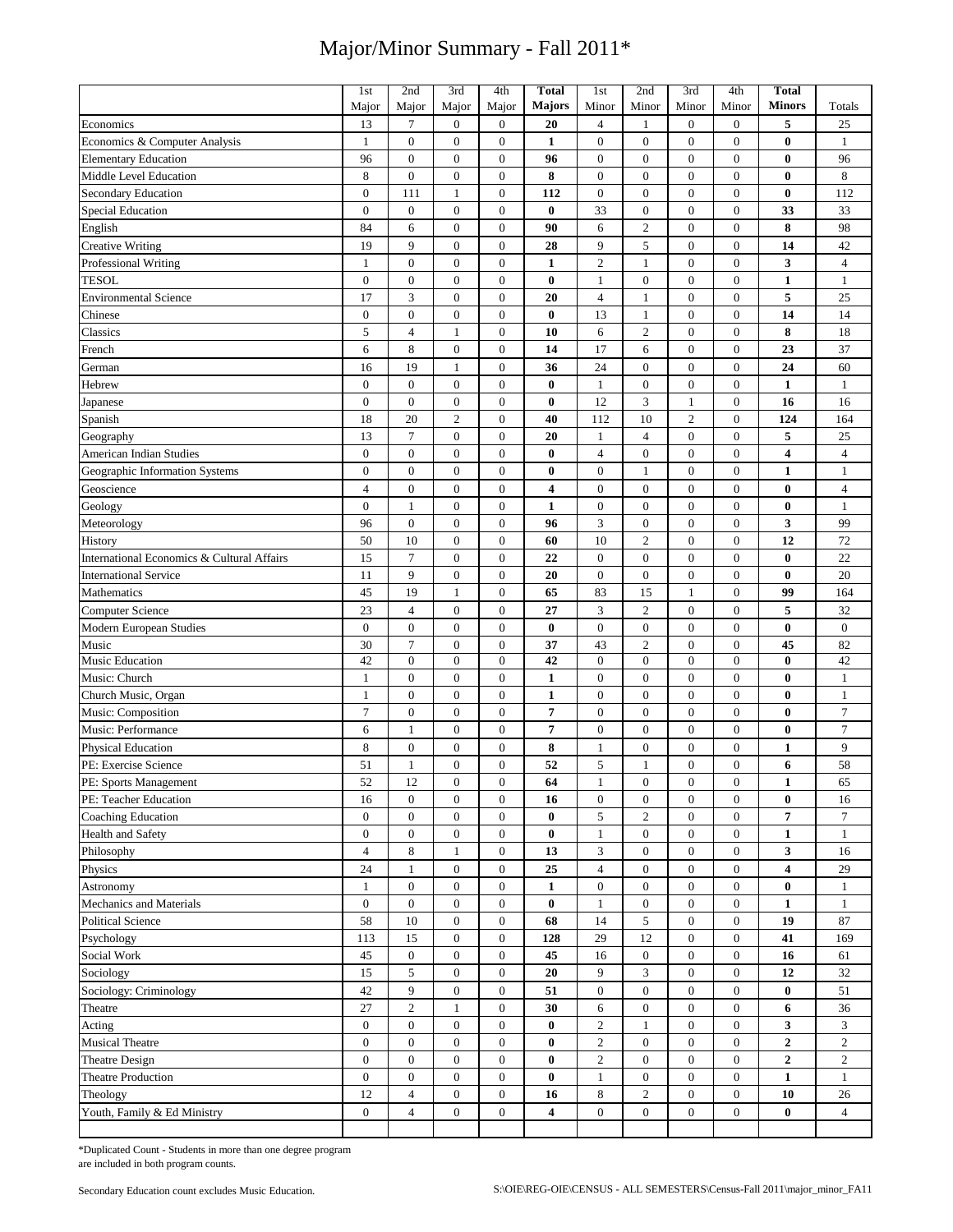|                                            | 1st              | 2nd                           | 3rd              | 4th              | <b>Total</b>            | 1 <sub>st</sub>       | 2nd              | 3rd              | 4th              | Total                   |                      |
|--------------------------------------------|------------------|-------------------------------|------------------|------------------|-------------------------|-----------------------|------------------|------------------|------------------|-------------------------|----------------------|
|                                            | Major            | Major                         | Major            | Major            | <b>Majors</b>           | Minor                 | Minor            | Minor            | Minor            | <b>Minors</b>           | Totals               |
| Economics                                  | 13               | $\boldsymbol{7}$              | $\boldsymbol{0}$ | $\boldsymbol{0}$ | 20                      | $\overline{4}$        | 1                | $\mathbf{0}$     | $\boldsymbol{0}$ | 5                       | 25                   |
| Economics & Computer Analysis              | $\mathbf{1}$     | $\overline{0}$                | $\mathbf{0}$     | $\boldsymbol{0}$ | 1                       | $\mathbf{0}$          | $\mathbf{0}$     | $\overline{0}$   | $\mathbf{0}$     | $\bf{0}$                | $\mathbf{1}$         |
| <b>Elementary Education</b>                | 96               | $\mathbf{0}$                  | $\boldsymbol{0}$ | $\boldsymbol{0}$ | 96                      | $\mathbf{0}$          | $\mathbf{0}$     | $\mathbf{0}$     | $\boldsymbol{0}$ | $\bf{0}$                | 96                   |
| Middle Level Education                     | 8                | $\boldsymbol{0}$              | $\boldsymbol{0}$ | $\boldsymbol{0}$ | 8                       | $\boldsymbol{0}$      | $\boldsymbol{0}$ | $\overline{0}$   | $\boldsymbol{0}$ | $\bf{0}$                | 8                    |
| <b>Secondary Education</b>                 | $\mathbf{0}$     | 111                           | $\mathbf{1}$     | $\mathbf{0}$     | 112                     | $\mathbf{0}$          | $\mathbf{0}$     | $\overline{0}$   | $\overline{0}$   | $\bf{0}$                | 112                  |
| <b>Special Education</b>                   | $\boldsymbol{0}$ | $\boldsymbol{0}$              | $\boldsymbol{0}$ | $\boldsymbol{0}$ | $\bf{0}$                | 33                    | $\boldsymbol{0}$ | $\mathbf{0}$     | $\boldsymbol{0}$ | 33                      | 33                   |
| English                                    | 84               | 6                             | $\boldsymbol{0}$ | $\boldsymbol{0}$ | 90                      | 6                     | $\overline{2}$   | $\mathbf{0}$     | $\boldsymbol{0}$ | 8                       | 98                   |
| <b>Creative Writing</b>                    | 19               | 9                             | $\boldsymbol{0}$ | $\boldsymbol{0}$ | 28                      | 9                     | $\sqrt{5}$       | $\mathbf{0}$     | $\boldsymbol{0}$ | 14                      | 42                   |
| Professional Writing                       | $\mathbf{1}$     | $\mathbf{0}$                  | $\boldsymbol{0}$ | $\boldsymbol{0}$ | 1                       | $\overline{2}$        | $\mathbf{1}$     | $\overline{0}$   | $\boldsymbol{0}$ | 3                       | $\overline{4}$       |
| <b>TESOL</b>                               | $\boldsymbol{0}$ | $\boldsymbol{0}$              | $\boldsymbol{0}$ | $\boldsymbol{0}$ | $\bf{0}$                | $\mathbf{1}$          | $\boldsymbol{0}$ | $\boldsymbol{0}$ | $\boldsymbol{0}$ | $\mathbf{1}$            | $\mathbf{1}$         |
| <b>Environmental Science</b>               | 17               | 3                             | $\boldsymbol{0}$ | $\boldsymbol{0}$ | 20                      | $\overline{4}$        | $\mathbf{1}$     | $\overline{0}$   | $\mathbf{0}$     | 5                       | 25                   |
| Chinese                                    | $\boldsymbol{0}$ | $\boldsymbol{0}$              | $\boldsymbol{0}$ | $\boldsymbol{0}$ | $\boldsymbol{0}$        | 13                    | $\mathbf{1}$     | $\boldsymbol{0}$ | $\boldsymbol{0}$ | 14                      | 14                   |
| Classics                                   | 5                | $\overline{4}$                | $\mathbf{1}$     | $\boldsymbol{0}$ | 10                      | 6                     | $\sqrt{2}$       | $\overline{0}$   | $\boldsymbol{0}$ | 8                       | 18                   |
| French                                     | 6                | 8                             | $\boldsymbol{0}$ | $\boldsymbol{0}$ | 14                      | 17                    | 6                | $\boldsymbol{0}$ | $\boldsymbol{0}$ | 23                      | 37                   |
| German                                     | 16               | 19                            | $\mathbf{1}$     | $\boldsymbol{0}$ | 36                      | 24                    | $\boldsymbol{0}$ | $\boldsymbol{0}$ | $\boldsymbol{0}$ | 24                      | 60                   |
| Hebrew                                     | $\overline{0}$   | $\mathbf{0}$                  | $\boldsymbol{0}$ | $\boldsymbol{0}$ | $\bf{0}$                | $\mathbf{1}$          | $\mathbf{0}$     | $\overline{0}$   | $\boldsymbol{0}$ | $\mathbf{1}$            | $\mathbf{1}$         |
| Japanese                                   | $\boldsymbol{0}$ | $\boldsymbol{0}$              | $\boldsymbol{0}$ | $\boldsymbol{0}$ | $\bf{0}$                | 12                    | 3                | 1                | $\boldsymbol{0}$ | 16                      | 16                   |
| Spanish                                    | 18               | 20                            | $\overline{2}$   | $\boldsymbol{0}$ | 40                      | 112                   | 10               | $\overline{c}$   | $\boldsymbol{0}$ | 124                     | 164                  |
| Geography                                  | 13               | $\tau$                        | $\boldsymbol{0}$ | $\boldsymbol{0}$ | 20                      | $\mathbf{1}$          | $\overline{4}$   | $\mathbf{0}$     | $\boldsymbol{0}$ | 5                       | 25                   |
| American Indian Studies                    | $\boldsymbol{0}$ | $\boldsymbol{0}$              | $\boldsymbol{0}$ | $\boldsymbol{0}$ | $\bf{0}$                | $\overline{4}$        | $\boldsymbol{0}$ | $\overline{0}$   | $\boldsymbol{0}$ | $\overline{\mathbf{4}}$ | $\overline{4}$       |
| Geographic Information Systems             | $\boldsymbol{0}$ | $\mathbf{0}$                  | $\boldsymbol{0}$ | $\boldsymbol{0}$ | $\boldsymbol{0}$        | $\boldsymbol{0}$      | $\mathbf{1}$     | $\boldsymbol{0}$ | $\boldsymbol{0}$ | $\mathbf{1}$            | $\mathbf{1}$         |
| Geoscience                                 | $\overline{4}$   | $\boldsymbol{0}$              | $\boldsymbol{0}$ | $\boldsymbol{0}$ | $\overline{\mathbf{4}}$ | $\boldsymbol{0}$      | $\boldsymbol{0}$ | $\mathbf{0}$     | $\boldsymbol{0}$ | $\bf{0}$                | $\overline{4}$       |
| Geology                                    | $\boldsymbol{0}$ | $\mathbf{1}$                  | $\boldsymbol{0}$ | $\boldsymbol{0}$ | $\mathbf{1}$            | $\boldsymbol{0}$      | $\boldsymbol{0}$ | $\mathbf{0}$     | $\boldsymbol{0}$ | $\bf{0}$                | $\mathbf{1}$         |
| Meteorology                                | 96               | $\boldsymbol{0}$              | $\boldsymbol{0}$ | $\boldsymbol{0}$ | 96                      | $\overline{3}$        | $\boldsymbol{0}$ | $\boldsymbol{0}$ | $\boldsymbol{0}$ | 3                       | 99                   |
| History                                    | 50               | 10                            | $\boldsymbol{0}$ | $\boldsymbol{0}$ | 60                      | 10                    | $\overline{c}$   | $\mathbf{0}$     | $\boldsymbol{0}$ | 12                      | 72                   |
| International Economics & Cultural Affairs | 15               | $\tau$                        | $\boldsymbol{0}$ | $\boldsymbol{0}$ | 22                      | $\boldsymbol{0}$      | $\boldsymbol{0}$ | $\boldsymbol{0}$ | $\boldsymbol{0}$ | $\bf{0}$                | 22                   |
| <b>International Service</b>               | 11               | 9                             | $\boldsymbol{0}$ | $\boldsymbol{0}$ | 20                      | $\overline{0}$        | $\overline{0}$   | $\overline{0}$   | $\boldsymbol{0}$ | $\bf{0}$                | 20                   |
| Mathematics                                | 45               | 19                            | $\mathbf{1}$     | $\boldsymbol{0}$ | 65                      | 83                    | 15               | $\mathbf{1}$     | $\boldsymbol{0}$ | 99                      | 164                  |
| <b>Computer Science</b>                    | 23               | $\overline{4}$                | $\boldsymbol{0}$ | $\boldsymbol{0}$ | 27                      | 3                     | $\overline{2}$   | $\boldsymbol{0}$ | $\boldsymbol{0}$ | 5                       | 32                   |
| Modern European Studies                    | $\boldsymbol{0}$ | $\boldsymbol{0}$              | $\boldsymbol{0}$ | $\boldsymbol{0}$ | $\bf{0}$                | $\mathbf{0}$          | $\boldsymbol{0}$ | $\overline{0}$   | $\boldsymbol{0}$ | $\bf{0}$                | $\boldsymbol{0}$     |
| Music                                      | 30               | $\tau$                        | $\boldsymbol{0}$ | $\boldsymbol{0}$ | 37                      | 43                    | $\overline{2}$   | $\mathbf{0}$     | $\boldsymbol{0}$ | 45                      | 82                   |
| Music Education                            | 42               | $\mathbf{0}$                  | $\boldsymbol{0}$ | $\boldsymbol{0}$ | 42                      | $\mathbf{0}$          | $\mathbf{0}$     | $\mathbf{0}$     | $\boldsymbol{0}$ | $\bf{0}$                | 42                   |
| Music: Church                              | $\mathbf{1}$     | $\boldsymbol{0}$              | $\boldsymbol{0}$ | $\boldsymbol{0}$ | $\mathbf{1}$            | $\mathbf{0}$          | $\boldsymbol{0}$ | $\overline{0}$   | $\boldsymbol{0}$ | $\bf{0}$                | $\mathbf{1}$         |
| Church Music, Organ                        | $\mathbf{1}$     | $\boldsymbol{0}$              | $\boldsymbol{0}$ | $\boldsymbol{0}$ | $\mathbf{1}$            | $\boldsymbol{0}$      | $\boldsymbol{0}$ | $\boldsymbol{0}$ | $\boldsymbol{0}$ | $\bf{0}$                | $\mathbf{1}$         |
| Music: Composition                         | $\overline{7}$   | $\boldsymbol{0}$              | $\boldsymbol{0}$ | $\boldsymbol{0}$ | $\overline{7}$          | $\boldsymbol{0}$      | $\boldsymbol{0}$ | $\mathbf{0}$     | $\boldsymbol{0}$ | $\bf{0}$                | $\boldsymbol{7}$     |
| Music: Performance                         | 6                | $\mathbf{1}$                  | $\boldsymbol{0}$ | $\boldsymbol{0}$ | 7                       | $\boldsymbol{0}$      | $\boldsymbol{0}$ | $\mathbf{0}$     | $\boldsymbol{0}$ | 0                       | 7                    |
| Physical Education                         | $\,$ 8 $\,$      | $\boldsymbol{0}$              | $\boldsymbol{0}$ | $\boldsymbol{0}$ | 8                       | $\mathbf{1}$          | $\boldsymbol{0}$ | $\boldsymbol{0}$ | $\boldsymbol{0}$ | 1                       | 9                    |
| PE: Exercise Science                       | 51               | $\mathbf{1}$                  | $\boldsymbol{0}$ | $\boldsymbol{0}$ | 52                      | 5                     | $\mathbf{1}$     | $\mathbf{0}$     | $\boldsymbol{0}$ | 6                       | 58                   |
| PE: Sports Management                      | 52               | $12\,$                        | $\boldsymbol{0}$ | $\boldsymbol{0}$ | 64                      | $\mathbf{1}$          | $\boldsymbol{0}$ | $\boldsymbol{0}$ | $\boldsymbol{0}$ | $\mathbf{1}$            | 65                   |
| PE: Teacher Education                      | 16               | $\boldsymbol{0}$              | $\boldsymbol{0}$ | $\boldsymbol{0}$ | 16                      | $\mathbf{0}$          | $\boldsymbol{0}$ | $\mathbf{0}$     | $\mathbf{0}$     | $\bf{0}$                | 16                   |
| <b>Coaching Education</b>                  | $\mathbf{0}$     | $\boldsymbol{0}$              | $\boldsymbol{0}$ | $\boldsymbol{0}$ | $\bf{0}$                | 5                     | $\mathfrak{2}$   | $\boldsymbol{0}$ | $\boldsymbol{0}$ | 7                       | 7                    |
| Health and Safety                          | $\boldsymbol{0}$ | $\boldsymbol{0}$              | $\boldsymbol{0}$ | $\boldsymbol{0}$ | $\bf{0}$                | $\mathbf{1}$          | $\boldsymbol{0}$ | $\boldsymbol{0}$ | $\mathbf{0}$     | $\mathbf{1}$            | $\mathbf{1}$         |
| Philosophy                                 | $\overline{4}$   | 8                             | $\mathbf{1}$     | $\boldsymbol{0}$ | 13                      | $\mathfrak{Z}$        | $\boldsymbol{0}$ | $\mathbf{0}$     | $\boldsymbol{0}$ | 3                       | 16                   |
| Physics                                    | 24               | 1                             | $\boldsymbol{0}$ | $\boldsymbol{0}$ | 25                      | $\overline{4}$        | $\boldsymbol{0}$ | $\mathbf{0}$     | $\boldsymbol{0}$ | 4                       | 29                   |
| Astronomy                                  | $\mathbf{1}$     | $\boldsymbol{0}$              | $\boldsymbol{0}$ | $\boldsymbol{0}$ | $\mathbf{1}$            | $\mathbf{0}$          | $\boldsymbol{0}$ | $\boldsymbol{0}$ | $\boldsymbol{0}$ | $\bf{0}$                | $\mathbf{1}$         |
| Mechanics and Materials                    | $\overline{0}$   | $\overline{0}$                | $\mathbf{0}$     | $\boldsymbol{0}$ | $\bf{0}$                | $\mathbf{1}$          | $\boldsymbol{0}$ | $\mathbf{0}$     | $\overline{0}$   | $\mathbf{1}$            | $\mathbf{1}$         |
| <b>Political Science</b>                   | 58               | 10                            | $\boldsymbol{0}$ | $\boldsymbol{0}$ | 68                      | 14                    | $\sqrt{5}$       | $\mathbf{0}$     | $\boldsymbol{0}$ | 19                      | 87                   |
| Psychology                                 | 113              | 15                            | $\boldsymbol{0}$ | $\boldsymbol{0}$ | 128                     | 29                    | 12               | $\mathbf{0}$     | $\boldsymbol{0}$ | 41                      | 169                  |
| Social Work                                | 45               | $\boldsymbol{0}$              | $\boldsymbol{0}$ | $\boldsymbol{0}$ | 45                      | 16                    | $\boldsymbol{0}$ | $\mathbf{0}$     | $\boldsymbol{0}$ | 16                      | 61                   |
| Sociology                                  | 15               | 5                             | $\boldsymbol{0}$ | $\boldsymbol{0}$ | 20                      | 9                     | 3                | $\boldsymbol{0}$ | 0                | 12                      | 32                   |
| Sociology: Criminology                     | 42               | 9                             | $\boldsymbol{0}$ | $\boldsymbol{0}$ | 51                      | $\mathbf{0}$          | $\boldsymbol{0}$ | $\boldsymbol{0}$ | $\boldsymbol{0}$ | $\bf{0}$                | 51                   |
| Theatre                                    | 27               | $\overline{c}$                | $\mathbf{1}$     | $\mathbf{0}$     | 30                      | $\sqrt{6}$            | $\boldsymbol{0}$ | $\mathbf{0}$     | $\mathbf{0}$     | 6                       | 36                   |
| Acting                                     | $\boldsymbol{0}$ | $\boldsymbol{0}$              | $\boldsymbol{0}$ | $\mathbf{0}$     | $\bf{0}$                | $\overline{2}$        | $\mathbf{1}$     | $\overline{0}$   | $\overline{0}$   | 3                       | 3                    |
| <b>Musical Theatre</b>                     | $\mathbf{0}$     | $\boldsymbol{0}$              | $\boldsymbol{0}$ | $\boldsymbol{0}$ | $\bf{0}$                | $\sqrt{2}$            | $\boldsymbol{0}$ | $\mathbf{0}$     | $\boldsymbol{0}$ | $\boldsymbol{2}$        | $\overline{c}$       |
| <b>Theatre Design</b>                      | $\boldsymbol{0}$ | $\boldsymbol{0}$              | $\boldsymbol{0}$ | $\boldsymbol{0}$ | $\bf{0}$                | $\overline{2}$        | $\boldsymbol{0}$ | $\mathbf{0}$     | $\mathbf{0}$     | $\overline{2}$          | $\overline{c}$       |
| <b>Theatre Production</b>                  | $\mathbf{0}$     | $\boldsymbol{0}$              | $\boldsymbol{0}$ | $\boldsymbol{0}$ | $\bf{0}$                | $\mathbf{1}$          | $\boldsymbol{0}$ | $\boldsymbol{0}$ | $\boldsymbol{0}$ | 1                       | $\mathbf{1}$         |
|                                            | 12               |                               | $\boldsymbol{0}$ | $\boldsymbol{0}$ |                         |                       | $\boldsymbol{2}$ | $\boldsymbol{0}$ | $\boldsymbol{0}$ |                         |                      |
| Theology<br>Youth, Family & Ed Ministry    | $\boldsymbol{0}$ | 4<br>$\overline{\mathcal{L}}$ | $\boldsymbol{0}$ | $\boldsymbol{0}$ | 16<br>4                 | 8<br>$\boldsymbol{0}$ | $\boldsymbol{0}$ | $\boldsymbol{0}$ | $\boldsymbol{0}$ | 10<br>$\bf{0}$          | 26<br>$\overline{4}$ |
|                                            |                  |                               |                  |                  |                         |                       |                  |                  |                  |                         |                      |

\*Duplicated Count - Students in more than one degree program are included in both program counts.